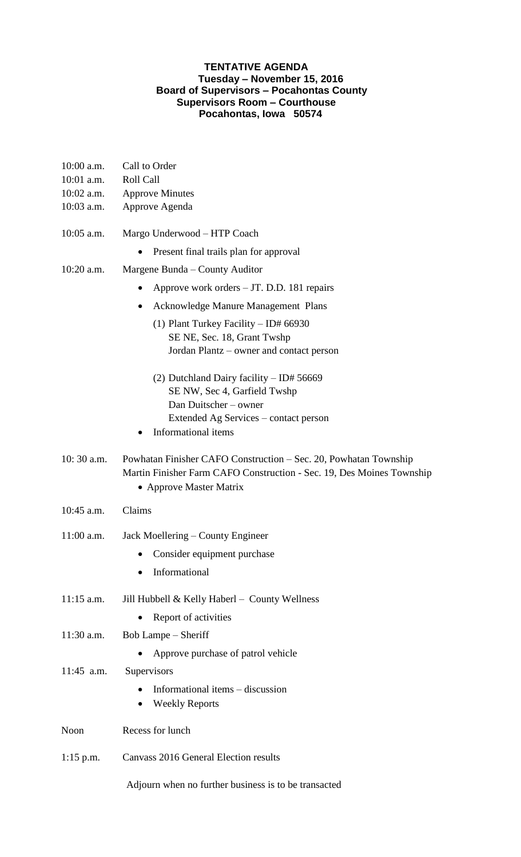## **TENTATIVE AGENDA Tuesday – November 15, 2016 Board of Supervisors – Pocahontas County Supervisors Room – Courthouse Pocahontas, Iowa 50574**

| $10:00$ a.m.<br>10:01 a.m. | Call to Order<br>Roll Call                                                                                                                                           |
|----------------------------|----------------------------------------------------------------------------------------------------------------------------------------------------------------------|
| $10:02$ a.m.               | <b>Approve Minutes</b>                                                                                                                                               |
| 10:03 a.m.                 | Approve Agenda                                                                                                                                                       |
| 10:05 a.m.                 | Margo Underwood – HTP Coach                                                                                                                                          |
|                            | Present final trails plan for approval                                                                                                                               |
| $10:20$ a.m.               | Margene Bunda – County Auditor                                                                                                                                       |
|                            | Approve work orders - JT. D.D. 181 repairs                                                                                                                           |
|                            | Acknowledge Manure Management Plans<br>$\bullet$                                                                                                                     |
|                            | (1) Plant Turkey Facility $-$ ID# 66930                                                                                                                              |
|                            | SE NE, Sec. 18, Grant Twshp                                                                                                                                          |
|                            | Jordan Plantz – owner and contact person                                                                                                                             |
|                            | (2) Dutchland Dairy facility $-$ ID# 56669                                                                                                                           |
|                            | SE NW, Sec 4, Garfield Twshp                                                                                                                                         |
|                            | Dan Duitscher - owner                                                                                                                                                |
|                            | Extended Ag Services – contact person<br>Informational items                                                                                                         |
|                            |                                                                                                                                                                      |
| $10:30$ a.m.               | Powhatan Finisher CAFO Construction – Sec. 20, Powhatan Township<br>Martin Finisher Farm CAFO Construction - Sec. 19, Des Moines Township<br>• Approve Master Matrix |
|                            |                                                                                                                                                                      |
| 10:45 a.m.                 | Claims                                                                                                                                                               |
| $11:00$ a.m.               | Jack Moellering – County Engineer                                                                                                                                    |
|                            | Consider equipment purchase                                                                                                                                          |
|                            | Informational<br>$\bullet$                                                                                                                                           |
| $11:15$ a.m.               | Jill Hubbell & Kelly Haberl - County Wellness                                                                                                                        |
|                            | Report of activities                                                                                                                                                 |
| 11:30 a.m.                 | Bob Lampe – Sheriff                                                                                                                                                  |
|                            | Approve purchase of patrol vehicle                                                                                                                                   |
| $11:45$ a.m.               | Supervisors                                                                                                                                                          |
|                            | Informational items - discussion<br><b>Weekly Reports</b>                                                                                                            |
| Noon                       | Recess for lunch                                                                                                                                                     |
| $1:15$ p.m.                | Canvass 2016 General Election results                                                                                                                                |
|                            | Adjourn when no further business is to be transacted                                                                                                                 |